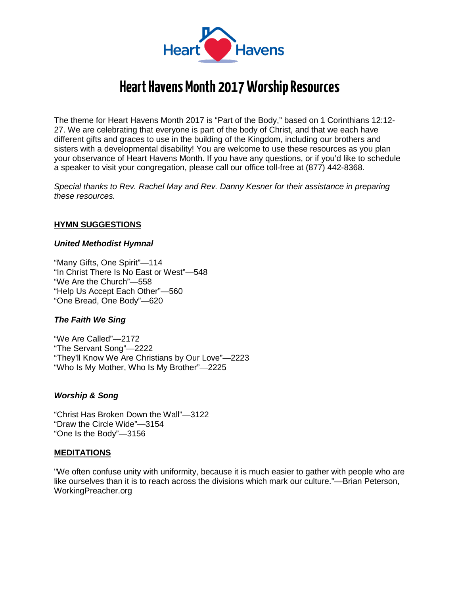

# **Heart Havens Month 2017Worship Resources**

The theme for Heart Havens Month 2017 is "Part of the Body," based on 1 Corinthians 12:12- 27. We are celebrating that everyone is part of the body of Christ, and that we each have different gifts and graces to use in the building of the Kingdom, including our brothers and sisters with a developmental disability! You are welcome to use these resources as you plan your observance of Heart Havens Month. If you have any questions, or if you'd like to schedule a speaker to visit your congregation, please call our office toll-free at (877) 442-8368.

*Special thanks to Rev. Rachel May and Rev. Danny Kesner for their assistance in preparing these resources.*

## **HYMN SUGGESTIONS**

#### *United Methodist Hymnal*

"Many Gifts, One Spirit"—114 "In Christ There Is No East or West"—548 "We Are the Church"—558 "Help Us Accept Each Other"—560 "One Bread, One Body"—620

## *The Faith We Sing*

"We Are Called"—2172 "The Servant Song"—2222 "They'll Know We Are Christians by Our Love"—2223 "Who Is My Mother, Who Is My Brother"—2225

#### *Worship & Song*

"Christ Has Broken Down the Wall"—3122 "Draw the Circle Wide"—3154 "One Is the Body"—3156

## **MEDITATIONS**

"We often confuse unity with uniformity, because it is much easier to gather with people who are like ourselves than it is to reach across the divisions which mark our culture."—Brian Peterson, WorkingPreacher.org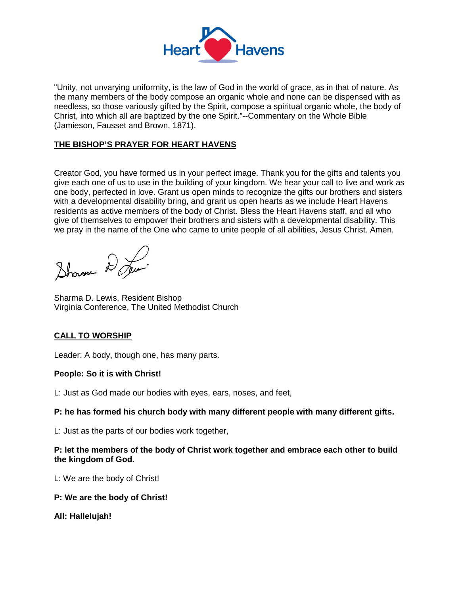

"Unity, not unvarying uniformity, is the law of God in the world of grace, as in that of nature. As the many members of the body compose an organic whole and none can be dispensed with as needless, so those variously gifted by the Spirit, compose a spiritual organic whole, the body of Christ, into which all are baptized by the one Spirit."--Commentary on the Whole Bible (Jamieson, Fausset and Brown, 1871).

# **THE BISHOP'S PRAYER FOR HEART HAVENS**

Creator God, you have formed us in your perfect image. Thank you for the gifts and talents you give each one of us to use in the building of your kingdom. We hear your call to live and work as one body, perfected in love. Grant us open minds to recognize the gifts our brothers and sisters with a developmental disability bring, and grant us open hearts as we include Heart Havens residents as active members of the body of Christ. Bless the Heart Havens staff, and all who give of themselves to empower their brothers and sisters with a developmental disability. This we pray in the name of the One who came to unite people of all abilities, Jesus Christ. Amen.

Shown Do

Sharma D. Lewis, Resident Bishop Virginia Conference, The United Methodist Church

# **CALL TO WORSHIP**

Leader: A body, though one, has many parts.

## **People: So it is with Christ!**

L: Just as God made our bodies with eyes, ears, noses, and feet,

## **P: he has formed his church body with many different people with many different gifts.**

L: Just as the parts of our bodies work together,

## **P: let the members of the body of Christ work together and embrace each other to build the kingdom of God.**

L: We are the body of Christ!

## **P: We are the body of Christ!**

**All: Hallelujah!**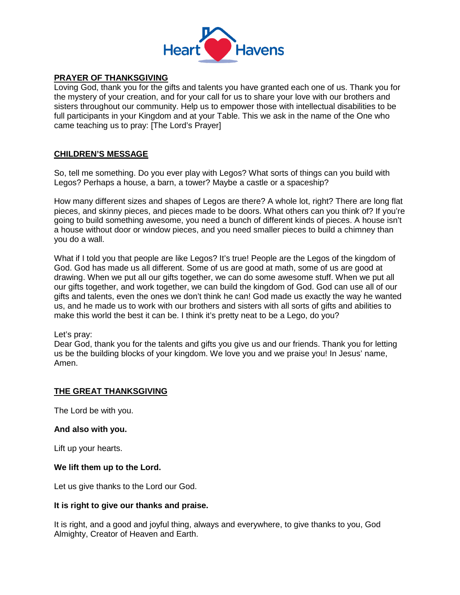

# **PRAYER OF THANKSGIVING**

Loving God, thank you for the gifts and talents you have granted each one of us. Thank you for the mystery of your creation, and for your call for us to share your love with our brothers and sisters throughout our community. Help us to empower those with intellectual disabilities to be full participants in your Kingdom and at your Table. This we ask in the name of the One who came teaching us to pray: [The Lord's Prayer]

## **CHILDREN'S MESSAGE**

So, tell me something. Do you ever play with Legos? What sorts of things can you build with Legos? Perhaps a house, a barn, a tower? Maybe a castle or a spaceship?

How many different sizes and shapes of Legos are there? A whole lot, right? There are long flat pieces, and skinny pieces, and pieces made to be doors. What others can you think of? If you're going to build something awesome, you need a bunch of different kinds of pieces. A house isn't a house without door or window pieces, and you need smaller pieces to build a chimney than you do a wall.

What if I told you that people are like Legos? It's true! People are the Legos of the kingdom of God. God has made us all different. Some of us are good at math, some of us are good at drawing. When we put all our gifts together, we can do some awesome stuff. When we put all our gifts together, and work together, we can build the kingdom of God. God can use all of our gifts and talents, even the ones we don't think he can! God made us exactly the way he wanted us, and he made us to work with our brothers and sisters with all sorts of gifts and abilities to make this world the best it can be. I think it's pretty neat to be a Lego, do you?

Let's pray:

Dear God, thank you for the talents and gifts you give us and our friends. Thank you for letting us be the building blocks of your kingdom. We love you and we praise you! In Jesus' name, Amen.

## **THE GREAT THANKSGIVING**

The Lord be with you.

#### **And also with you.**

Lift up your hearts.

#### **We lift them up to the Lord.**

Let us give thanks to the Lord our God.

#### **It is right to give our thanks and praise.**

It is right, and a good and joyful thing, always and everywhere, to give thanks to you, God Almighty, Creator of Heaven and Earth.